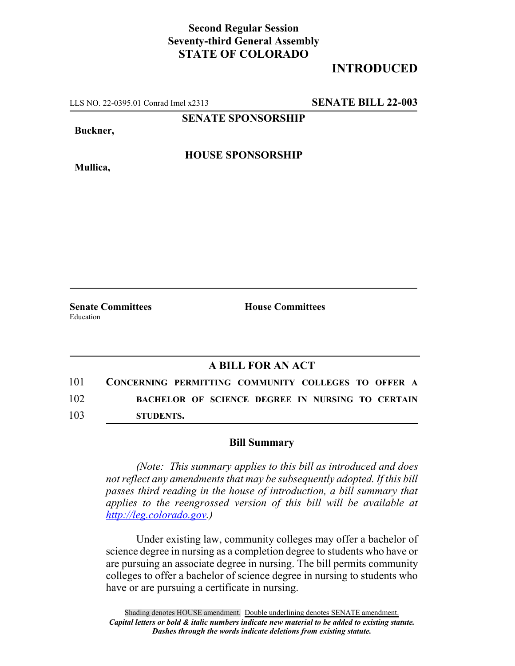## **Second Regular Session Seventy-third General Assembly STATE OF COLORADO**

## **INTRODUCED**

LLS NO. 22-0395.01 Conrad Imel x2313 **SENATE BILL 22-003**

**SENATE SPONSORSHIP**

**Buckner,**

**Mullica,**

**HOUSE SPONSORSHIP**

Education

**Senate Committees House Committees** 

## **A BILL FOR AN ACT**

101 **CONCERNING PERMITTING COMMUNITY COLLEGES TO OFFER A** 102 **BACHELOR OF SCIENCE DEGREE IN NURSING TO CERTAIN** 103 **STUDENTS.**

## **Bill Summary**

*(Note: This summary applies to this bill as introduced and does not reflect any amendments that may be subsequently adopted. If this bill passes third reading in the house of introduction, a bill summary that applies to the reengrossed version of this bill will be available at http://leg.colorado.gov.)*

Under existing law, community colleges may offer a bachelor of science degree in nursing as a completion degree to students who have or are pursuing an associate degree in nursing. The bill permits community colleges to offer a bachelor of science degree in nursing to students who have or are pursuing a certificate in nursing.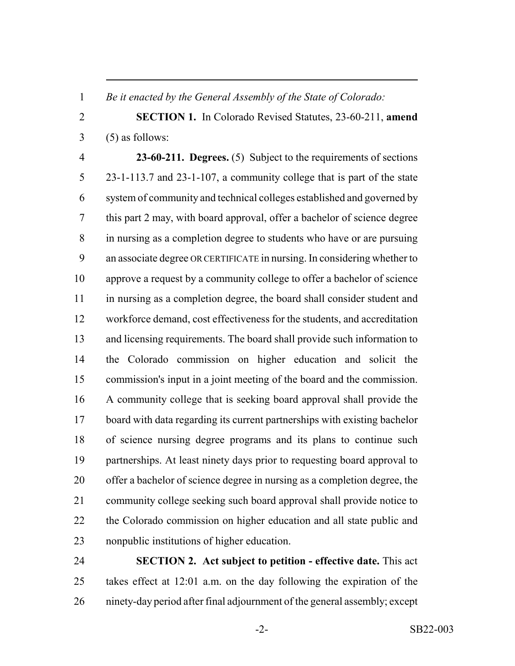*Be it enacted by the General Assembly of the State of Colorado:*

 **SECTION 1.** In Colorado Revised Statutes, 23-60-211, **amend**  $3 \quad (5)$  as follows:

 **23-60-211. Degrees.** (5) Subject to the requirements of sections 23-1-113.7 and 23-1-107, a community college that is part of the state system of community and technical colleges established and governed by this part 2 may, with board approval, offer a bachelor of science degree in nursing as a completion degree to students who have or are pursuing an associate degree OR CERTIFICATE in nursing. In considering whether to approve a request by a community college to offer a bachelor of science in nursing as a completion degree, the board shall consider student and workforce demand, cost effectiveness for the students, and accreditation and licensing requirements. The board shall provide such information to the Colorado commission on higher education and solicit the commission's input in a joint meeting of the board and the commission. A community college that is seeking board approval shall provide the board with data regarding its current partnerships with existing bachelor of science nursing degree programs and its plans to continue such partnerships. At least ninety days prior to requesting board approval to offer a bachelor of science degree in nursing as a completion degree, the community college seeking such board approval shall provide notice to the Colorado commission on higher education and all state public and nonpublic institutions of higher education.

 **SECTION 2. Act subject to petition - effective date.** This act takes effect at 12:01 a.m. on the day following the expiration of the ninety-day period after final adjournment of the general assembly; except